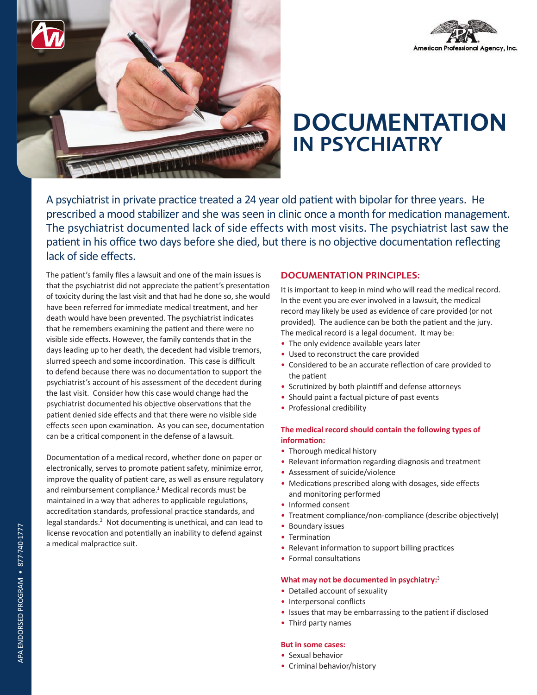



# **DOCUMENTATION** IN PSYCHIATRY

A psychiatrist in private practice treated a 24 year old patient with bipolar for three years. He prescribed a mood stabilizer and she was seen in clinic once a month for medication management. The psychiatrist documented lack of side effects with most visits. The psychiatrist last saw the patient in his office two days before she died, but there is no objective documentation reflecting lack of side effects.

The patient's family files a lawsuit and one of the main issues is that the psychiatrist did not appreciate the patient's presentation of toxicity during the last visit and that had he done so, she would have been referred for immediate medical treatment, and her death would have been prevented. The psychiatrist indicates that he remembers examining the patient and there were no visible side effects. However, the family contends that in the days leading up to her death, the decedent had visible tremors, slurred speech and some incoordination. This case is difficult to defend because there was no documentation to support the psychiatrist's account of his assessment of the decedent during the last visit. Consider how this case would change had the psychiatrist documented his objective observations that the patient denied side effects and that there were no visible side effects seen upon examination. As you can see, documentation can be a critical component in the defense of a lawsuit.

Documentation of a medical record, whether done on paper or electronically, serves to promote patient safety, minimize error, improve the quality of patient care, as well as ensure regulatory and reimbursement compliance.<sup>1</sup> Medical records must be maintained in a way that adheres to applicable regulations, accreditation standards, professional practice standards, and essi sanction standards, processional processe standards, and contract the legal standards.<sup>2</sup> Not documenting is unethical, and can lead to license revocation and potentially an inability to defend against a medical malpractice suit.

# DOCUMENTATION PRINCIPLES:

It is important to keep in mind who will read the medical record. In the event you are ever involved in a lawsuit, the medical record may likely be used as evidence of care provided (or not provided). The audience can be both the patient and the jury. The medical record is a legal document. It may be:

- The only evidence available years later
- Used to reconstruct the care provided
- Considered to be an accurate reflection of care provided to the patient
- Scrutinized by both plaintiff and defense attorneys
- Should paint a factual picture of past events
- Professional credibility

## **The medical record should contain the following types of information:**

- Thorough medical history
- Relevant information regarding diagnosis and treatment
- Assessment of suicide/violence
- Medications prescribed along with dosages, side effects and monitoring performed
- Informed consent
- Treatment compliance/non-compliance (describe objectively)
- Boundary issues
- Termination
- Relevant information to support billing practices
- Formal consultations

#### **What may not be documented in psychiatry:**<sup>3</sup>

- Detailed account of sexuality
- Interpersonal conflicts
- Issues that may be embarrassing to the patient if disclosed
- Third party names

## **But in some cases:**

- Sexual behavior
- Criminal behavior/history